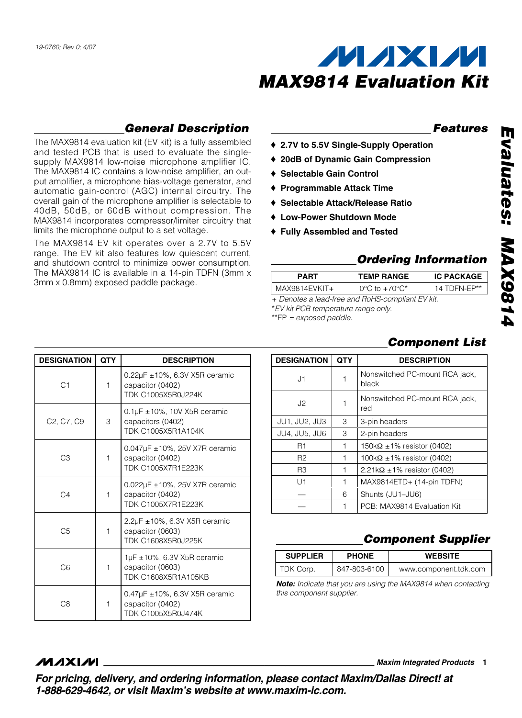

#### **Features**

**General Description**

The MAX9814 evaluation kit (EV kit) is a fully assembled and tested PCB that is used to evaluate the singlesupply MAX9814 low-noise microphone amplifier IC. The MAX9814 IC contains a low-noise amplifier, an output amplifier, a microphone bias-voltage generator, and automatic gain-control (AGC) internal circuitry. The overall gain of the microphone amplifier is selectable to 40dB, 50dB, or 60dB without compression. The MAX9814 incorporates compressor/limiter circuitry that limits the microphone output to a set voltage.

The MAX9814 EV kit operates over a 2.7V to 5.5V range. The EV kit also features low quiescent current, and shutdown control to minimize power consumption. The MAX9814 IC is available in a 14-pin TDFN (3mm x 3mm x 0.8mm) exposed paddle package.

- ♦ **2.7V to 5.5V Single-Supply Operation**
- ♦ **20dB of Dynamic Gain Compression**
- ♦ **Selectable Gain Control**
- ♦ **Programmable Attack Time**
- ♦ **Selectable Attack/Release Ratio**
- ♦ **Low-Power Shutdown Mode**
- ♦ **Fully Assembled and Tested**

### **Ordering Information**

| <b>PART</b>                                      | <b>TEMP RANGE</b>                 | <b>IC PACKAGE</b> |  |  |
|--------------------------------------------------|-----------------------------------|-------------------|--|--|
| MAX9814EVKIT+                                    | $0^{\circ}$ C to $+70^{\circ}$ C* | 14 TDFN-FP**      |  |  |
| + Denotes a lead-free and RoHS-compliant EV kit. |                                   |                   |  |  |

\*EV kit PCB temperature range only.

\*\*EP = exposed paddle.

| <b>DESIGNATION</b>   | <b>QTY</b> | <b>DESCRIPTION</b>                      |
|----------------------|------------|-----------------------------------------|
| J1                   |            | Nonswitched PC-mount RCA jack,<br>black |
| J2                   |            | Nonswitched PC-mount RCA jack,<br>red   |
| <b>JU1, JU2, JU3</b> | 3          | 3-pin headers                           |
| <b>JU4, JU5, JU6</b> | 3          | 2-pin headers                           |
| R1                   |            | $150k\Omega \pm 1\%$ resistor (0402)    |
| R2                   |            | 100k $\Omega$ ±1% resistor (0402)       |
| R <sub>3</sub>       |            | $2.21k\Omega \pm 1\%$ resistor (0402)   |
| U1                   |            | MAX9814ETD+ (14-pin TDFN)               |
|                      | 6          | Shunts (JU1-JU6)                        |
|                      | 1          | PCB: MAX9814 Evaluation Kit             |

## **Component List**

## **Component Supplier**

| <b>SUPPLIER</b> | <b>PHONE</b> | <b>WEBSITE</b>        |
|-----------------|--------------|-----------------------|
| TDK Corp.       | 847-803-6100 | www.component.tdk.com |

**Note:** Indicate that you are using the MAX9814 when contacting this component supplier.

#### **DESIGNATION QTY DESCRIPTION**  $C1$  1 0.22µF ±10%, 6.3V X5R ceramic capacitor (0402) TDK C1005X5R0J224K  $C2, C7, C9$  3 0.1µF ±10%, 10V X5R ceramic capacitors (0402) TDK C1005X5R1A104K  $C3 \qquad \qquad$  1 0.047µF ±10%, 25V X7R ceramic capacitor (0402) TDK C1005X7R1E223K  $C4$  1 0.022µF ±10%, 25V X7R ceramic capacitor (0402) TDK C1005X7R1E223K C5 1 2.2µF ±10%, 6.3V X5R ceramic capacitor (0603) TDK C1608X5R0J225K  $C6$  1 1 1µF ±10%, 6.3V X5R ceramic capacitor (0603) TDK C1608X5R1A105KB C8 1 0.47µF ±10%, 6.3V X5R ceramic capacitor (0402) TDK C1005X5R0J474K

**MAXIM** 

**\_\_\_\_\_\_\_\_\_\_\_\_\_\_\_\_\_\_\_\_\_\_\_\_\_\_\_\_\_\_\_\_\_\_\_\_\_\_\_\_\_\_\_\_\_\_\_\_\_\_\_\_\_\_\_\_\_\_\_\_\_\_\_\_ Maxim Integrated Products 1**

**For pricing, delivery, and ordering information, please contact Maxim/Dallas Direct! at 1-888-629-4642, or visit Maxim's website at www.maxim-ic.com.**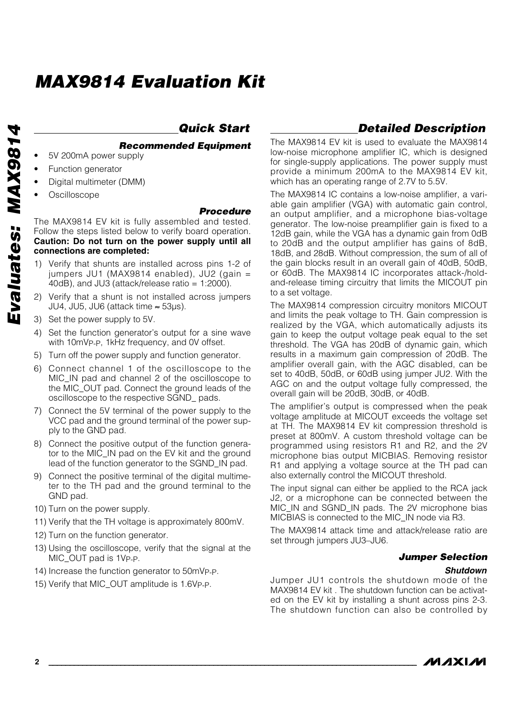# **MAX9814 Evaluation Kit**

# **Quick Start**

#### **Recommended Equipment**

- 5V 200mA power supply
- Function generator
- Digital multimeter (DMM)
- **Oscilloscope**

#### **Procedure**

The MAX9814 EV kit is fully assembled and tested. Follow the steps listed below to verify board operation. **Caution: Do not turn on the power supply until all connections are completed:**

- 1) Verify that shunts are installed across pins 1-2 of jumpers JU1 (MAX9814 enabled), JU2 (gain =  $40$ dB), and JU3 (attack/release ratio = 1:2000).
- 2) Verify that a shunt is not installed across jumpers JU4, JU5, JU6 (attack time ≈ 53µs).
- 3) Set the power supply to 5V.
- 4) Set the function generator's output for a sine wave with 10mVP-P, 1kHz frequency, and 0V offset.
- 5) Turn off the power supply and function generator.
- 6) Connect channel 1 of the oscilloscope to the MIC\_IN pad and channel 2 of the oscilloscope to the MIC\_OUT pad. Connect the ground leads of the oscilloscope to the respective SGND\_ pads.
- 7) Connect the 5V terminal of the power supply to the VCC pad and the ground terminal of the power supply to the GND pad.
- 8) Connect the positive output of the function generator to the MIC\_IN pad on the EV kit and the ground lead of the function generator to the SGND\_IN pad.
- 9) Connect the positive terminal of the digital multimeter to the TH pad and the ground terminal to the GND pad.
- 10) Turn on the power supply.
- 11) Verify that the TH voltage is approximately 800mV.
- 12) Turn on the function generator.
- 13) Using the oscilloscope, verify that the signal at the MIC\_OUT pad is 1VP-P.
- 14) Increase the function generator to 50mVP-P.
- 15) Verify that MIC\_OUT amplitude is 1.6VP-P.

# **Detailed Description**

The MAX9814 EV kit is used to evaluate the MAX9814 low-noise microphone amplifier IC, which is designed for single-supply applications. The power supply must provide a minimum 200mA to the MAX9814 EV kit, which has an operating range of 2.7V to 5.5V.

The MAX9814 IC contains a low-noise amplifier, a variable gain amplifier (VGA) with automatic gain control, an output amplifier, and a microphone bias-voltage generator. The low-noise preamplifier gain is fixed to a 12dB gain, while the VGA has a dynamic gain from 0dB to 20dB and the output amplifier has gains of 8dB, 18dB, and 28dB. Without compression, the sum of all of the gain blocks result in an overall gain of 40dB, 50dB, or 60dB. The MAX9814 IC incorporates attack-/holdand-release timing circuitry that limits the MICOUT pin to a set voltage.

The MAX9814 compression circuitry monitors MICOUT and limits the peak voltage to TH. Gain compression is realized by the VGA, which automatically adjusts its gain to keep the output voltage peak equal to the set threshold. The VGA has 20dB of dynamic gain, which results in a maximum gain compression of 20dB. The amplifier overall gain, with the AGC disabled, can be set to 40dB, 50dB, or 60dB using jumper JU2. With the AGC on and the output voltage fully compressed, the overall gain will be 20dB, 30dB, or 40dB.

The amplifier's output is compressed when the peak voltage amplitude at MICOUT exceeds the voltage set at TH. The MAX9814 EV kit compression threshold is preset at 800mV. A custom threshold voltage can be programmed using resistors R1 and R2, and the 2V microphone bias output MICBIAS. Removing resistor R1 and applying a voltage source at the TH pad can also externally control the MICOUT threshold.

The input signal can either be applied to the RCA jack J2, or a microphone can be connected between the MIC\_IN and SGND\_IN pads. The 2V microphone bias MICBIAS is connected to the MIC\_IN node via R3.

The MAX9814 attack time and attack/release ratio are set through jumpers JU3–JU6.

#### **Jumper Selection**

#### **Shutdown**

Jumper JU1 controls the shutdown mode of the MAX9814 EV kit . The shutdown function can be activated on the EV kit by installing a shunt across pins 2-3. The shutdown function can also be controlled by

**MAXIM**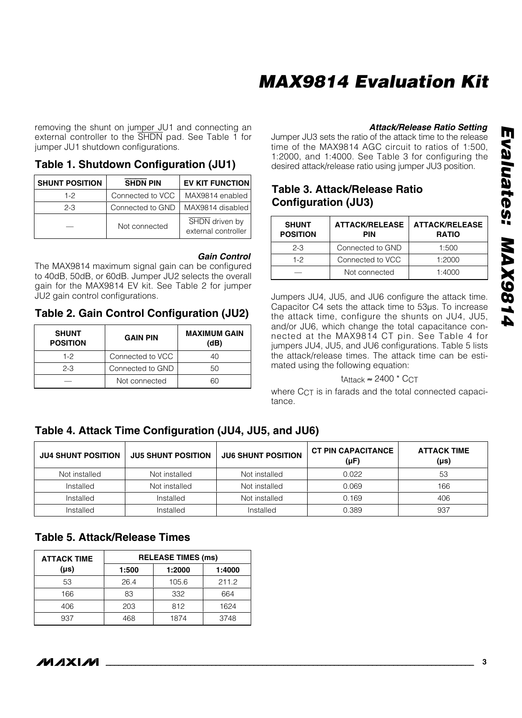# **MAX9814 Evaluation Kit**

removing the shunt on jumper JU1 and connecting an external controller to the SHDN pad. See Table 1 for jumper JU1 shutdown configurations.

**Table 1. Shutdown Configuration (JU1)**

| <b>SHUNT POSITION</b> | <b>SHDN PIN</b>  | <b>EV KIT FUNCTION</b>                |
|-----------------------|------------------|---------------------------------------|
| $1-2$                 | Connected to VCC | MAX9814 enabled                       |
| $2 - 3$               | Connected to GND | MAX9814 disabled                      |
|                       | Not connected    | SHDN driven by<br>external controller |

#### **Gain Control**

The MAX9814 maximum signal gain can be configured to 40dB, 50dB, or 60dB. Jumper JU2 selects the overall gain for the MAX9814 EV kit. See Table 2 for jumper JU2 gain control configurations.

**Table 2. Gain Control Configuration (JU2)**

| <b>SHUNT</b><br><b>POSITION</b> | <b>GAIN PIN</b>  | <b>MAXIMUM GAIN</b><br>(dB) |
|---------------------------------|------------------|-----------------------------|
| $1-2$                           | Connected to VCC | 40                          |
| $2 - 3$                         | Connected to GND | 50                          |
|                                 | Not connected    | ണ                           |

#### **Attack/Release Ratio Setting**

Jumper JU3 sets the ratio of the attack time to the release time of the MAX9814 AGC circuit to ratios of 1:500, 1:2000, and 1:4000. See Table 3 for configuring the desired attack/release ratio using jumper JU3 position.

### **Table 3. Attack/Release Ratio Configuration (JU3)**

| <b>SHUNT</b><br><b>POSITION</b> | <b>ATTACK/RELEASE</b><br><b>PIN</b> | <b>ATTACK/RELEASE</b><br><b>RATIO</b> |
|---------------------------------|-------------------------------------|---------------------------------------|
| $2 - 3$                         | Connected to GND                    | 1:500                                 |
| $1-2$                           | Connected to VCC                    | 1:2000                                |
|                                 | Not connected                       | 1:4000                                |

Jumpers JU4, JU5, and JU6 configure the attack time. Capacitor C4 sets the attack time to 53µs. To increase the attack time, configure the shunts on JU4, JU5, and/or JU6, which change the total capacitance connected at the MAX9814 CT pin. See Table 4 for jumpers JU4, JU5, and JU6 configurations. Table 5 lists the attack/release times. The attack time can be estimated using the following equation:

#### tAttack  $≈ 2400 * CCT$

where C<sub>CT</sub> is in farads and the total connected capacitance.

## **Table 4. Attack Time Configuration (JU4, JU5, and JU6)**

| <b>JU4 SHUNT POSITION</b> | <b>JU5 SHUNT POSITION</b> | <b>JU6 SHUNT POSITION</b> | <b>CT PIN CAPACITANCE</b><br>(µF) | <b>ATTACK TIME</b><br>(µs) |
|---------------------------|---------------------------|---------------------------|-----------------------------------|----------------------------|
| Not installed             | Not installed             | Not installed             | 0.022                             | 53                         |
| Installed                 | Not installed             | Not installed             | 0.069                             | 166                        |
| Installed                 | Installed                 | Not installed             | 0.169                             | 406                        |
| Installed                 | Installed                 | Installed                 | 0.389                             | 937                        |

## **Table 5. Attack/Release Times**

| <b>ATTACK TIME</b> | <b>RELEASE TIMES (ms)</b> |        |        |
|--------------------|---------------------------|--------|--------|
| $(\mu s)$          | 1:500                     | 1:2000 | 1:4000 |
| 53                 | 26.4                      | 105.6  | 211.2  |
| 166                | 83                        | 332    | 664    |
| 406                | 203                       | 812    | 1624   |
| 937                | 468                       | 1874   | 3748   |

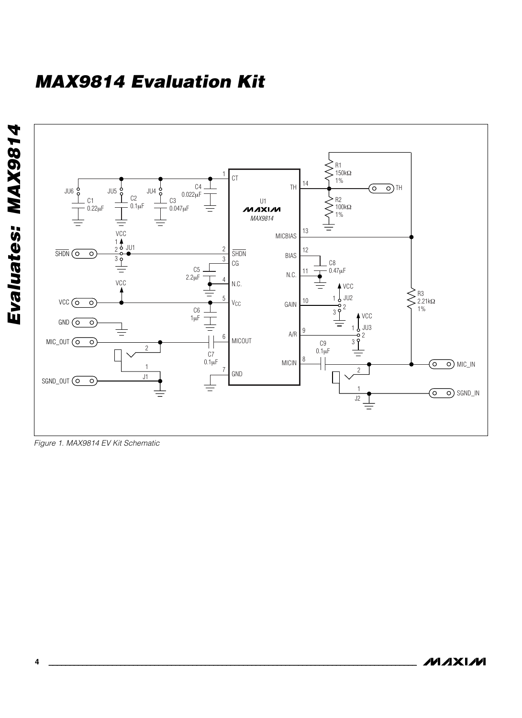# **MAX9814 Evaluation Kit**





Figure 1. MAX9814 EV Kit Schematic

**MAXIM**